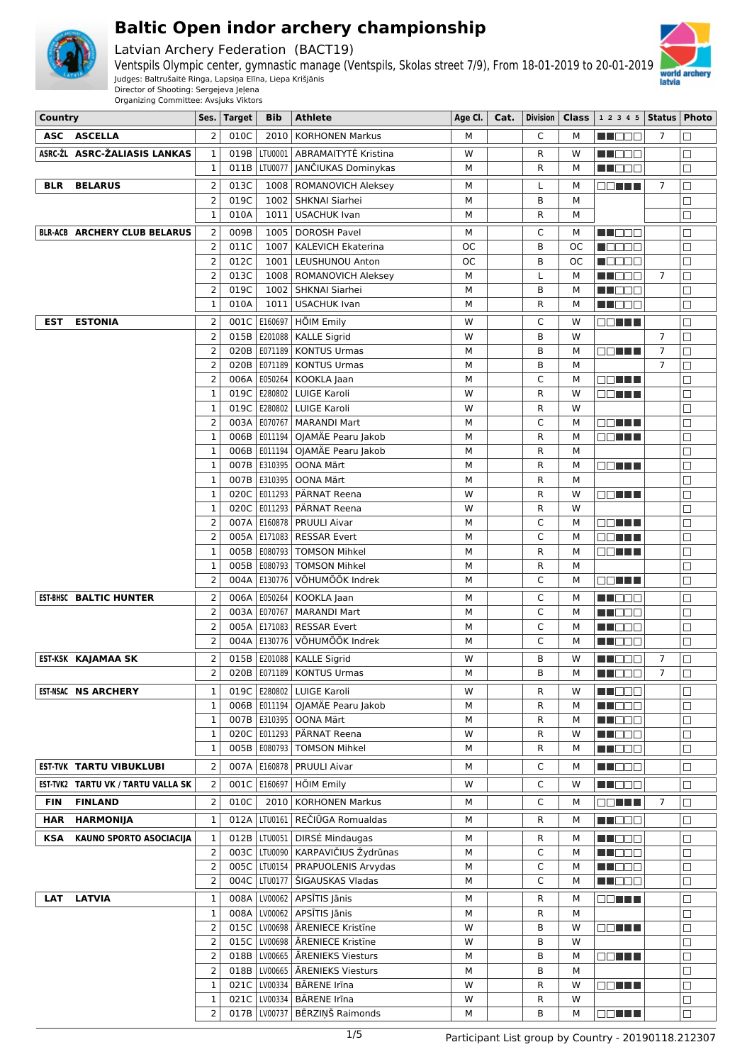

Latvian Archery Federation (BACT19)



Ventspils Olympic center, gymnastic manage (Ventspils, Skolas street 7/9), From 18-01-2019 to 20-01-2019 Judges: Baltrušaitė Ringa, Lapsiņa Elīna, Liepa Krišjānis Director of Shooting: Sergejeva Jeļena

| Country    |                                     |                | Ses.   Target | Bib     | Athlete                            | Age Cl.   |              |    | <b>Cat.</b>   Division   Class   1 2 3 4 5   Status   Photo |                |        |
|------------|-------------------------------------|----------------|---------------|---------|------------------------------------|-----------|--------------|----|-------------------------------------------------------------|----------------|--------|
|            | ASC ASCELLA                         | $\overline{2}$ | 010C          | 2010    | <b>KORHONEN Markus</b>             | M         | C            | М  | <b>RECOR</b>                                                | $\overline{7}$ | $\Box$ |
|            | ASRC-ŽL ASRC-ŽALIASIS LANKAS        | 1              | 019B          | LTU0001 | ABRAMAITYTĖ Kristina               | W         | R            | W  | M DO B                                                      |                | $\Box$ |
|            |                                     | $\mathbf 1$    | 011B          | LTU0077 | JANČIUKAS Dominykas                | M         | R            | м  | M D D D D                                                   |                | $\Box$ |
| <b>BLR</b> | <b>BELARUS</b>                      | $\overline{2}$ | 013C          | 1008    |                                    | М         |              | М  |                                                             | $\overline{7}$ |        |
|            |                                     | $\overline{2}$ |               |         | <b>ROMANOVICH Aleksey</b>          |           | L            |    | O DI BILI                                                   |                | $\Box$ |
|            |                                     |                | 019C          | 1002    | SHKNAI Siarhei                     | М         | B            | M  |                                                             |                | $\Box$ |
|            |                                     | 1              | 010A          | 1011    | <b>USACHUK Ivan</b>                | M         | R            | М  |                                                             |                | $\Box$ |
|            | <b>BLR-ACB ARCHERY CLUB BELARUS</b> | 2              | 009B          | 1005    | <b>DOROSH Pavel</b>                | М         | C            | М  | N NOOO                                                      |                | □      |
|            |                                     | 2              | 011C          | 1007    | <b>KALEVICH Ekaterina</b>          | <b>OC</b> | B            | ОC | n an De                                                     |                | $\Box$ |
|            |                                     | 2              | 012C          | 1001    | LEUSHUNOU Anton                    | ОC        | B            | ОC | <b>RADARI</b>                                               |                | $\Box$ |
|            |                                     | $\overline{2}$ | 013C          | 1008    | <b>ROMANOVICH Aleksey</b>          | М         | L            | М  | MA O O O                                                    | $\overline{7}$ | $\Box$ |
|            |                                     | 2              | 019C          | 1002    | SHKNAI Siarhei                     | М         | B            | м  | MU DE L                                                     |                | $\Box$ |
|            |                                     | $\mathbf{1}$   | 010A          |         | 1011   USACHUK Ivan                | M         | R            | М  | MU DO B                                                     |                | $\Box$ |
| <b>EST</b> | <b>ESTONIA</b>                      | 2              | 001C          | E160697 | HÕIM Emily                         | W         | C            | w  | O DI BILI                                                   |                | $\Box$ |
|            |                                     | $\overline{2}$ | 015B          | E201088 | <b>KALLE Sigrid</b>                | W         | B            | W  |                                                             | $\overline{7}$ | $\Box$ |
|            |                                     | $\overline{2}$ | 020B          | E071189 | <b>KONTUS Urmas</b>                | М         | В            | М  | 88 H H                                                      | $\overline{7}$ | $\Box$ |
|            |                                     | $\overline{2}$ | 020B          |         | E071189   KONTUS Urmas             | М         | B            | M  |                                                             | $\overline{7}$ | $\Box$ |
|            |                                     | 2              | 006A          | E050264 | KOOKLA Jaan                        | M         | C            | М  | 88 H H                                                      |                | □      |
|            |                                     | 1              | 019C          | E280802 | LUIGE Karoli                       | W         | R            | W  | 88 N N N                                                    |                | $\Box$ |
|            |                                     | $\mathbf{1}$   | 019C          | E280802 | <b>LUIGE Karoli</b>                | W         | $\mathsf{R}$ | W  |                                                             |                | $\Box$ |
|            |                                     | $\overline{2}$ | 003A          | E070767 | <b>MARANDI Mart</b>                | М         | C            | М  | OO HEL                                                      |                | $\Box$ |
|            |                                     | $\mathbf{1}$   | 006B          |         | E011194   OJAMÄE Pearu Jakob       | М         | R            | М  | O DE E E                                                    |                | □      |
|            |                                     | 1              | 006B          | E011194 | OJAMÄE Pearu Jakob                 | М         | R            | М  |                                                             |                | $\Box$ |
|            |                                     | $\mathbf{1}$   | 007B          | E310395 | OONA Märt                          | М         | R            | M  | OO HEL                                                      |                | $\Box$ |
|            |                                     | $\mathbf{1}$   | 007B          | E310395 | <b>OONA Märt</b>                   | М         | R            | М  |                                                             |                | $\Box$ |
|            |                                     | $\mathbf{1}$   | 020C          | E011293 | PÄRNAT Reena                       | W         | R            | W  | 88 E E E                                                    |                | $\Box$ |
|            |                                     | $\mathbf{1}$   | 020C          | E011293 | PÄRNAT Reena                       | W         | $\mathsf{R}$ | W  |                                                             |                | $\Box$ |
|            |                                     | 2              | 007A          | E160878 | <b>PRUULI Aivar</b>                | М         | C            | м  | OO U U U                                                    |                | $\Box$ |
|            |                                     | $\overline{2}$ | 005A          | E171083 | <b>RESSAR Evert</b>                | М         | C            | М  | OO HEE                                                      |                | $\Box$ |
|            |                                     | $\mathbf{1}$   | 005B          | E080793 | <b>TOMSON Mihkel</b>               | М         | R            | М  |                                                             |                | $\Box$ |
|            |                                     | $\mathbf 1$    | 005B          | E080793 | <b>TOMSON Mihkel</b>               | М         | $\mathsf{R}$ | М  | OO HEL                                                      |                | $\Box$ |
|            |                                     | $\overline{2}$ | 004A          | E130776 | VÕHUMÕÕK Indrek                    | М         | C            | М  | <u>a a bhlian</u>                                           |                | $\Box$ |
|            | <b>EST-BHSC BALTIC HUNTER</b>       | 2              | 006A          | E050264 | KOOKLA Jaan                        | М         | C            | М  | N NOOC                                                      |                | $\Box$ |
|            |                                     | $\overline{2}$ | 003A          | E070767 | <b>MARANDI Mart</b>                | М         | C            | М  | M DE E                                                      |                | $\Box$ |
|            |                                     | $\overline{2}$ | 005A          | E171083 | <b>RESSAR Evert</b>                | М         | C            | М  | M D D D D                                                   |                | □      |
|            |                                     | $\overline{2}$ | 004A          | E130776 | VÕHUMÕÕK Indrek                    | М         | C            | М  | W DO D                                                      |                | $\Box$ |
|            |                                     |                |               |         |                                    |           |              |    |                                                             |                |        |
|            | EST-KSK KAJAMAA SK                  | $\overline{2}$ | 015B          |         | E201088   KALLE Sigrid             | W         | B            | w  | HI DEE                                                      | 7              | $\Box$ |
|            |                                     | $\overline{c}$ |               |         | 020B   E071189   KONTUS Urmas      | M         | B            | м  | MT OO E                                                     | $\overline{7}$ | $\Box$ |
|            | <b>EST-NSAC NS ARCHERY</b>          | $\mathbf 1$    |               |         | 019C   E280802   LUIGE Karoli      | W         | R            | W  | <b>NNODE</b>                                                |                | $\Box$ |
|            |                                     | $\mathbf 1$    | 006B          |         | E011194   OJAMÄE Pearu Jakob       | М         | R            | М  | MT E E E                                                    |                | $\Box$ |
|            |                                     | 1              |               |         | 007B   E310395   OONA Märt         | М         | R            | м  | <b>MNOOC</b>                                                |                | $\Box$ |
|            |                                     | 1              | 020C          |         | E011293   PÄRNAT Reena             | W         | R            | w  | M DE E                                                      |                | $\Box$ |
|            |                                     | $\mathbf 1$    | 005B          |         | E080793   TOMSON Mihkel            | М         | R            | м  | M NOOC                                                      |                | □      |
|            | <b>EST-TVK TARTU VIBUKLUBI</b>      | 2              | 007A          |         | E160878   PRUULI Aivar             | М         | C            | М  | <b>RECODI</b>                                               |                | $\Box$ |
|            | EST-TVK2 TARTU VK / TARTU VALLA SK  | 2              | 001C          | E160697 | HÕIM Emily                         | W         | C            | w  | M DOO                                                       |                | $\Box$ |
| <b>FIN</b> | <b>FINLAND</b>                      | $\overline{2}$ | 010C          | 2010    | <b>KORHONEN Markus</b>             | М         | C            | м  | 88 <b>88 88</b>                                             | $\overline{7}$ | $\Box$ |
| <b>HAR</b> | <b>HARMONIJA</b>                    | $\mathbf 1$    | 012A          |         | LTU0161   REČIŪGA Romualdas        | М         | R            | М  | <b>RECOR</b>                                                |                | $\Box$ |
|            |                                     |                |               |         |                                    |           |              |    |                                                             |                |        |
| KSA        | KAUNO SPORTO ASOCIACIJA             | 1              | 012B          |         | LTU0051   DIRSĖ Mindaugas          | М         | R            | М  | NN DE O                                                     |                | $\Box$ |
|            |                                     | 2              | 003C          |         | LTU0090   KARPAVIČIUS Žydrūnas     | М         | C            | м  | NN OO O                                                     |                | $\Box$ |
|            |                                     | 2              | 005C          |         | LTU0154   PRAPUOLENIS Arvydas      | М         | C            | м  | N NO O O                                                    |                | $\Box$ |
|            |                                     | 2              | 004C          |         | LTU0177   ŠIGAUSKAS Vladas         | М         | C            | м  | M NO DE                                                     |                | $\Box$ |
| <b>LAT</b> | <b>LATVIA</b>                       | 1              | 008A          |         | LV00062 APSĪTIS Jānis              | м         | R            | М  | O DI BILI                                                   |                | $\Box$ |
|            |                                     | 1              | 008A          |         | LV00062   APSĪTIS Jānis            | М         | R            | м  |                                                             |                | $\Box$ |
|            |                                     | 2              | 015C          |         | LV00698   ĀRENIECE Kristīne        | W         | В            | w  | OO HU                                                       |                | □      |
|            |                                     | $\overline{2}$ |               |         | 015C   LV00698   ĀRENIECE Kristīne | W         | В            | W  |                                                             |                | $\Box$ |
|            |                                     | $\overline{2}$ |               |         | 018B   LV00665   ĀRENIEKS Viesturs | М         | В            | М  | OO TIL                                                      |                | $\Box$ |
|            |                                     | 2              |               |         | 018B   LV00665   ĀRENIEKS Viesturs | М         | B            | M  |                                                             |                | $\Box$ |
|            |                                     | 1              | 021C          |         | LV00334   BĀRENE Irīna             | W         | R            | W  | OO HILL                                                     |                | $\Box$ |
|            |                                     | 1              | 021C          |         | LV00334   BĀRENE Irīna             | W         | R            | W  |                                                             |                | $\Box$ |
|            |                                     | 2              |               |         | 017B   LV00737   BĒRZIŅŠ Raimonds  | М         | В            | М  | <b>DDDDDD</b>                                               |                | $\Box$ |
|            |                                     |                |               |         |                                    |           |              |    |                                                             |                |        |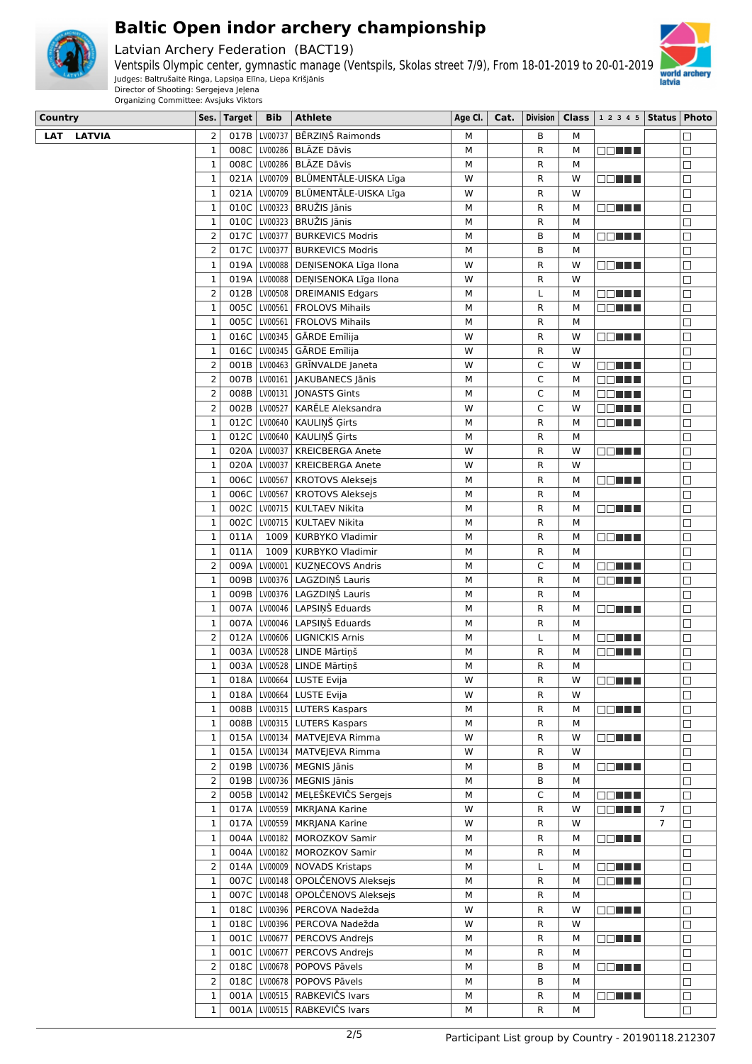

Latvian Archery Federation (BACT19)



Ventspils Olympic center, gymnastic manage (Ventspils, Skolas street 7/9), From 18-01-2019 to 20-01-2019 Judges: Baltrušaitė Ringa, Lapsiņa Elīna, Liepa Krišjānis Director of Shooting: Sergejeva Jeļena

| Country           | Ses.                          | <b>Target</b> | <b>Bib</b> | <b>Athlete</b>                                                      | Age Cl. | Cat. | <b>Division</b> |        | Class $\vert$ 1 2 3 4 5 Status   Photo |                |                  |
|-------------------|-------------------------------|---------------|------------|---------------------------------------------------------------------|---------|------|-----------------|--------|----------------------------------------|----------------|------------------|
| <b>LAT LATVIA</b> | $\overline{2}$                | 017B          |            | LV00737 BĒRZINŠ Raimonds                                            | М       |      | B               | М      |                                        |                | П                |
|                   | $\mathbf 1$                   | 008C          |            | LV00286 BLĀZE Dāvis                                                 | М       |      | R               | М      | <b>OD THE</b>                          |                | □                |
|                   | $\mathbf 1$                   | 008C          |            | LV00286   BLĀZE Dāvis                                               | M       |      | R               | M      |                                        |                | $\Box$           |
|                   | $\mathbf 1$                   | 021A          |            | LV00709 BLŪMENTĀLE-UISKA Līga                                       | W       |      | R               | W      | <b>DDDDDD</b>                          |                | $\Box$           |
|                   | $\mathbf 1$                   |               |            | 021A   LV00709   BLŪMENTĀLE-UISKA Līga                              | W       |      | R               | W      |                                        |                | □                |
|                   | $\mathbf 1$                   |               |            | 010C   LV00323   BRUŽIS Jānis                                       | М       |      | R               | M      | OO HILL                                |                | □                |
|                   | $\mathbf 1$                   |               |            | 010C LV00323 BRUŽIS Jānis                                           | М       |      | R               | M      |                                        |                | $\Box$           |
|                   | $\overline{2}$                |               |            | 017C   LV00377   BURKEVICS Modris                                   | М       |      | в               | М      | <b>OBLES</b>                           |                | $\Box$           |
|                   | $\overline{2}$                |               |            | 017C   LV00377   BURKEVICS Modris                                   | М       |      | в               | М      |                                        |                | $\Box$           |
|                   | $\mathbf 1$                   | 019A          |            | LV00088   DEŅISENOKA Līga Ilona                                     | W       |      | R               | W      | 88 E S S S S S                         |                | □                |
|                   | $\mathbf 1$                   | 019A          |            | LV00088   DEŅISENOKA Līga Ilona                                     | W       |      | R               | W      |                                        |                | $\Box$           |
|                   | $\overline{2}$                | 012B          |            | LV00508   DREIMANIS Edgars                                          | М       |      | L               | M      | <b>DDDDD</b>                           |                | $\Box$           |
|                   | $\mathbf 1$                   | 005C          |            | LV00561   FROLOVS Mihails                                           | М       |      | R               | М      | <b>BBBBB</b>                           |                | □                |
|                   | $\mathbf 1$                   |               |            | 005C   LV00561   FROLOVS Mihails                                    | М       |      | R               | М      |                                        |                | □                |
|                   | $\mathbf 1$                   |               |            | 016C LV00345   GĀRDE Emīlija                                        | W       |      | R               | W      | <u>to a little</u>                     |                | $\Box$           |
|                   | $\mathbf 1$                   |               |            | 016C   LV00345   GĀRDE Emīlija                                      | W       |      | R               | W      |                                        |                | $\Box$           |
|                   | $\overline{2}$                | 001B          |            | LV00463 GRINVALDE Janeta                                            | W       |      | C               | W      | <b>BELLE</b>                           |                | $\Box$           |
|                   | $\overline{2}$                | 007B          |            | LV00161   JAKUBANECS Jānis                                          | М       |      | C               | М      | 88 E S S S S S                         |                | $\Box$           |
|                   | $\mathbf 2$                   | 008B          |            | LV00131 JONASTS Gints                                               | М       |      | C               | М      | OO EE E                                |                | $\Box$           |
|                   | $\overline{2}$<br>$\mathbf 1$ | 002B          |            | LV00527   KARĒLE Aleksandra<br>012C LV00640   KAULIŅŠ Ģirts         | W<br>М  |      | C<br>R          | W<br>M | OO EE E                                |                | $\Box$           |
|                   | $\mathbf 1$                   |               |            | 012C LV00640 KAULIŅŠ Ģirts                                          | М       |      | R               | M      | <b>DDDDDD</b>                          |                | □<br>$\Box$      |
|                   | $\mathbf 1$                   |               |            | 020A   LV00037   KREICBERGA Anete                                   | W       |      | R               | W      | OO HILL                                |                | □                |
|                   | $\mathbf 1$                   |               |            | 020A   LV00037   KREICBERGA Anete                                   | W       |      | R               | W      |                                        |                | $\Box$           |
|                   | $\mathbf 1$                   |               |            | 006C   LV00567   KROTOVS Aleksejs                                   | М       |      | R               | M      | OO TITL                                |                | $\Box$           |
|                   | $\mathbf 1$                   |               |            | 006C   LV00567   KROTOVS Aleksejs                                   | M       |      | R               | M      |                                        |                | $\Box$           |
|                   | $\mathbf 1$                   | 002C          |            | LV00715   KULTAEV Nikita                                            | М       |      | R               | М      | <b>ROLL B</b>                          |                | $\Box$           |
|                   | $\mathbf 1$                   | 002C          |            | LV00715   KULTAEV Nikita                                            | М       |      | R               | M      |                                        |                | $\Box$           |
|                   | $\mathbf 1$                   | 011A          |            | 1009   KURBYKO Vladimir                                             | М       |      | R               | M      | OO HELL                                |                | $\Box$           |
|                   | $\mathbf 1$                   | 011A          |            | 1009   KURBYKO Vladimir                                             | М       |      | R               | М      |                                        |                | $\Box$           |
|                   | $\overline{2}$                | 009A          |            | LV00001 KUZŅECOVS Andris                                            | M       |      | C               | М      | 80 H H H                               |                | $\Box$           |
|                   | $\mathbf 1$                   | 009B          |            | LV00376   LAGZDIŅŠ Lauris                                           | М       |      | R               | М      | <b>DOMNI</b>                           |                | $\Box$           |
|                   | $\mathbf 1$                   | 009B          |            | LV00376   LAGZDIŅŠ Lauris                                           | M       |      | R               | M      |                                        |                | $\Box$           |
|                   | 1                             | 007A          |            | LV00046   LAPSIŅŠ Eduards                                           | М       |      | R               | М      | OO TITL                                |                | $\Box$           |
|                   | $\mathbf 1$                   | 007A          |            | LV00046   LAPSIŅŠ Eduards                                           | M       |      | R               | M      |                                        |                | $\Box$           |
|                   | $\overline{2}$                | 012A          |            | LV00606   LIGNICKIS Arnis                                           | М       |      | Г               | М      | 88 <b>88 88 88</b>                     |                | $\Box$           |
|                   | $\mathbf 1$                   | 003A          |            | LV00528   LINDE Mārtiņš                                             | М       |      | R               | M      | <b>BBTH</b>                            |                | $\Box$           |
|                   | $\mathbf 1$                   | 003Al         |            | LV00528 LINDE Mārtiņš                                               | М       |      | R.              | М      |                                        |                | $\Box$           |
|                   | 1                             |               |            | 018A   LV00664   LUSTE Evija                                        | W       |      | R               | W      | <b>ROBER</b>                           |                |                  |
|                   | $\mathbf 1$                   | 018A          |            | LV00664   LUSTE Evija                                               | W       |      | R               | W      |                                        |                | $\Box$           |
|                   | $\mathbf 1$                   |               |            | 008B   LV00315   LUTERS Kaspars                                     | М       |      | R               | М      | <b>ODEER</b>                           |                | □                |
|                   | $\mathbf 1$                   |               |            | 008B   LV00315   LUTERS Kaspars                                     | М       |      | R               | М      |                                        |                | □                |
|                   | $\mathbf 1$                   | 015A          |            | LV00134   MATVEJEVA Rimma                                           | W       |      | R               | W      | 88 E E E                               |                | $\Box$           |
|                   | $\mathbf 1$                   | 015A          |            | LV00134   MATVEJEVA Rimma                                           | W       |      | R               | W      |                                        |                | $\Box$           |
|                   | $\overline{2}$                | 019B          |            | LV00736   MEGNIS Jānis                                              | М       |      | B               | м      | <b>BELLE</b>                           |                | □                |
|                   | $\overline{2}$                | 019B          |            | LV00736   MEGNIS Jānis                                              | М       |      | B               | М      |                                        |                | □                |
|                   | $\overline{2}$                |               |            | 005B   LV00142   MEĻEŠKEVIČS Sergejs                                | М       |      | C               | М      | OO EE E                                |                | П                |
|                   | 1                             | 017A          |            | LV00559   MKRJANA Karine                                            | W       |      | R               | W      | OO EE E                                | $\overline{7}$ | $\Box$           |
|                   | $\mathbf 1$                   | 017A          |            | LV00559   MKRJANA Karine                                            | W       |      | R               | W      |                                        | $\overline{7}$ | □                |
|                   | $\mathbf 1$                   | 004A          |            | LV00182   MOROZKOV Samir                                            | М       |      | R               | М      | <b>ODEER</b>                           |                | □                |
|                   | $\mathbf 1$<br>$\overline{2}$ |               |            | 004A   LV00182   MOROZKOV Samir<br>014A   LV00009   NOVADS Kristaps | М<br>М  |      | R               | M      |                                        |                | $\Box$<br>$\Box$ |
|                   | $\mathbf 1$                   |               |            | 007C LV00148 OPOLČENOVS Aleksejs                                    | М       |      | Г<br>R          | М<br>М | OO EE E<br>OO HEL                      |                | □                |
|                   | $\mathbf 1$                   |               |            | 007C LV00148 OPOLČENOVS Aleksejs                                    | М       |      | R               | М      |                                        |                | □                |
|                   | $\mathbf 1$                   |               |            | 018C LV00396   PERCOVA Nadežda                                      | W       |      | R               | W      | 88 <b>88 88 88</b>                     |                | П                |
|                   | $\mathbf 1$                   |               |            | 018C LV00396   PERCOVA Nadežda                                      | W       |      | R               | W      |                                        |                | $\Box$           |
|                   | 1                             |               |            | 001C   LV00677   PERCOVS Andrejs                                    | М       |      | R               | М      | O DI BILI                              |                | $\Box$           |
|                   | $\mathbf 1$                   |               |            | 001C   LV00677   PERCOVS Andrejs                                    | М       |      | R               | М      |                                        |                | □                |
|                   | $\overline{2}$                |               |            | 018C   LV00678   POPOVS Pāvels                                      | М       |      | B               | М      | 88 <b>88 88</b>                        |                | □                |
|                   | $\overline{2}$                |               |            | 018C   LV00678   POPOVS Pāvels                                      | М       |      | B               | М      |                                        |                | $\Box$           |
|                   | $\mathbf 1$                   |               |            | 001A   LV00515   RABKEVIČS Ivars                                    | М       |      | R               | М      | OO HEL                                 |                | $\Box$           |
|                   | $\mathbf{1}$                  |               |            | 001A   LV00515   RABKEVIČS Ivars                                    | М       |      | R               | M      |                                        |                | $\Box$           |
|                   |                               |               |            |                                                                     |         |      |                 |        |                                        |                |                  |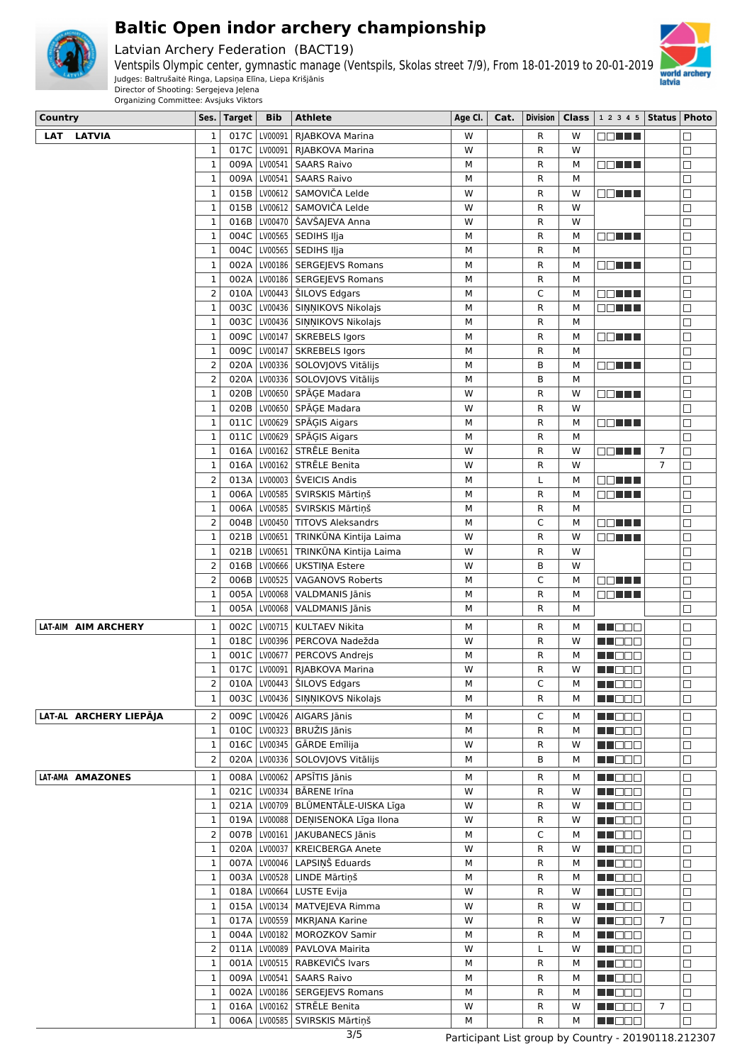

Latvian Archery Federation (BACT19)



Ventspils Olympic center, gymnastic manage (Ventspils, Skolas street 7/9), From 18-01-2019 to 20-01-2019 Judges: Baltrušaitė Ringa, Lapsiņa Elīna, Liepa Krišjānis Director of Shooting: Sergejeva Jeļena

**Country Ses. Target Bib Athlete Age Cl. Cat. Division Class 1 2 3 4 5 Status Photo**

| <b>LAT</b><br><b>LATVIA</b> | 1              | 017C |                |                                        | W | R            |   |                     |                | $\Box$ |
|-----------------------------|----------------|------|----------------|----------------------------------------|---|--------------|---|---------------------|----------------|--------|
|                             |                |      |                | LV00091   RJABKOVA Marina              |   |              | w | O DI BILI           |                |        |
|                             | $\mathbf{1}$   | 017C | LV00091        | RJABKOVA Marina                        | W | R            | W |                     |                | $\Box$ |
|                             | 1              | 009A |                | LV00541   SAARS Raivo                  | м | R            | М | <b>ROLL</b>         |                | $\Box$ |
|                             | $\mathbf{1}$   | 009A | LV00541        | <b>SAARS Raivo</b>                     | M | $\mathsf{R}$ | М |                     |                | $\Box$ |
|                             | $\mathbf{1}$   | 015B | LV00612        | SAMOVIČA Lelde                         | W | $\mathsf{R}$ | W | OO TITL             |                | $\Box$ |
|                             | $\mathbf 1$    | 015B |                | LV00612 SAMOVIČA Lelde                 | W | $\mathsf{R}$ | W |                     |                | $\Box$ |
|                             | $\mathbf 1$    | 016B |                | LV00470 SAVŠAJEVA Anna                 | W | R            | W |                     |                | $\Box$ |
|                             |                |      |                |                                        |   |              |   |                     |                |        |
|                             | 1              | 004C |                | LV00565   SEDIHS Iļja                  | м | R            | М | E E HE              |                | $\Box$ |
|                             | $\mathbf{1}$   | 004C |                | LV00565   SEDIHS Iļja                  | М | R            | M |                     |                | $\Box$ |
|                             | $\mathbf{1}$   | 002A |                | LV00186   SERGEJEVS Romans             | м | R            | М | OO EE E             |                | $\Box$ |
|                             | $\mathbf 1$    | 002A |                | LV00186   SERGEJEVS Romans             | М | R            | M |                     |                | $\Box$ |
|                             | $\overline{2}$ | 010A |                | LV00443   ŠILOVS Edgars                | М | C            | M | <u>e e lit</u>      |                | $\Box$ |
|                             | $\mathbf 1$    | 003C |                | LV00436 SIŅŅIKOVS Nikolajs             | M | $\mathsf{R}$ | M | O DI LI LI          |                | $\Box$ |
|                             |                |      |                |                                        |   |              |   |                     |                |        |
|                             | $\mathbf{1}$   | 003C |                | LV00436   SIŅŅIKOVS Nikolajs           | М | $\mathsf{R}$ | M |                     |                | $\Box$ |
|                             | $\mathbf 1$    |      |                | 009C   LV00147   SKREBELS Igors        | м | R            | М | O D D D D           |                | $\Box$ |
|                             | $\mathbf 1$    | 009C |                | LV00147   SKREBELS Igors               | М | R            | M |                     |                | $\Box$ |
|                             | $\overline{2}$ | 020A |                | LV00336 SOLOVJOVS Vitālijs             | м | B            | M | OO HA               |                | $\Box$ |
|                             | $\overline{2}$ | 020A |                | LV00336 SOLOVJOVS Vitālijs             | М | B            | M |                     |                | $\Box$ |
|                             | $\mathbf{1}$   | 020B |                |                                        | W | $\mathsf{R}$ | W |                     |                | $\Box$ |
|                             |                |      |                | LV00650 SPĀĢE Madara                   |   |              |   | <b>ROLL</b>         |                |        |
|                             | $\mathbf{1}$   | 020B |                | LV00650 SPĀĢE Madara                   | W | $\mathsf{R}$ | W |                     |                | $\Box$ |
|                             | $\mathbf{1}$   | 011C | LV00629        | SPĀĢIS Aigars                          | М | R            | M | OO HELL             |                | $\Box$ |
|                             | $\mathbf{1}$   | 011C |                | LV00629 SPĀĢIS Aigars                  | м | $\mathsf{R}$ | М |                     |                | $\Box$ |
|                             | $\mathbf{1}$   |      |                | 016A   LV00162   STRĒLE Benita         | W | $\mathsf{R}$ | W | <u>e e literatu</u> | $\overline{7}$ | $\Box$ |
|                             | $\mathbf{1}$   | 016A |                | LV00162 STRĒLE Benita                  | W | R            | W |                     | $\overline{7}$ | $\Box$ |
|                             |                |      |                |                                        |   |              |   |                     |                |        |
|                             | $\overline{2}$ | 013A |                | LV00003 ŠVEICIS Andis                  | М | L            | M | OO HA               |                | $\Box$ |
|                             | 1              | 006A |                | LV00585 SVIRSKIS Mārtiņš               | М | R            | М | 88 E E E            |                | $\Box$ |
|                             | $\mathbf{1}$   | 006A |                | LV00585 SVIRSKIS Mārtiņš               | М | R            | M |                     |                | $\Box$ |
|                             | $\overline{2}$ | 004B |                | LV00450 TITOVS Aleksandrs              | M | C            | М | 88 <b>88 8</b>      |                | $\Box$ |
|                             | $\mathbf{1}$   | 021B | LV00651        | TRINKŪNA Kintija Laima                 | W | $\mathsf{R}$ | W | n din Tin           |                | $\Box$ |
|                             | $\mathbf 1$    | 021B | LV00651        | TRINKŪNA Kintija Laima                 | W | R            | W |                     |                | $\Box$ |
|                             | $\overline{2}$ | 016B | LV00666        | <b>UKSTINA Estere</b>                  | W | B            | W |                     |                |        |
|                             |                |      |                |                                        |   |              |   |                     |                | $\Box$ |
|                             | $\overline{2}$ | 006B | LV00525        | <b>VAGANOVS Roberts</b>                | м | C            | М | O DE E E            |                | $\Box$ |
|                             | $\mathbf 1$    | 005A | LV00068        | VALDMANIS Jānis                        | м | R            | м | OO HA               |                | $\Box$ |
|                             | $\mathbf 1$    | 005A | LV00068        | VALDMANIS Jānis                        | М | R            | м |                     |                | $\Box$ |
| LAT-AIM AIM ARCHERY         | 1              | 002C | LV00715        | <b>KULTAEV Nikita</b>                  | м | R            | М | M DEC               |                | $\Box$ |
|                             | $\mathbf{1}$   | 018C | LV00396        |                                        | W |              | W |                     |                |        |
|                             |                |      |                | PERCOVA Nadežda                        |   | R            |   | M N D D M           |                | $\Box$ |
|                             | $\mathbf{1}$   |      | 001C LV00677   | PERCOVS Andrejs                        | м | R            | M | MI DE E             |                | $\Box$ |
|                             | $\mathbf 1$    |      | 017C   LV00091 | RJABKOVA Marina                        | W | R            | W | M I E E E           |                | $\Box$ |
|                             | $\overline{2}$ |      |                | 010A   LV00443   ŠILOVS Edgars         | М | Ċ            | M | MU O O O            |                | $\Box$ |
|                             | 1              |      |                | 003C   LV00436   SIŅŅIKOVS Nikolajs    | М | R            | М | MN DE V             |                | $\Box$ |
|                             |                |      |                |                                        |   |              |   |                     |                |        |
| LAT-AL ARCHERY LIEPĀJA      | $\overline{2}$ |      |                | 009C   LV00426   AIGARS Jānis          | м | C            | м | M NO SI S           |                | $\Box$ |
|                             | $\mathbf 1$    |      |                | 010C   LV00323   BRUŽIS Jānis          | м | R            | М | MU DOO              |                | $\Box$ |
|                             | $\mathbf 1$    |      |                | 016C LV00345 GĀRDE Emīlija             | W | R            | W | MU DOO              |                | $\Box$ |
|                             | 2              |      |                | 020A   LV00336   SOLOVJOVS Vitālijs    | М | B            | м | <b>HEDDD</b>        |                | $\Box$ |
| LAT-AMA AMAZONES            | $\mathbf 1$    |      |                | 008A   LV00062   APSĪTIS Jānis         | М | R            | М | M DOO               |                | $\Box$ |
|                             |                |      |                |                                        |   |              |   |                     |                |        |
|                             | 1              |      |                | 021C   LV00334   BĀRENE Irīna          | W | R            | W | MU DO U             |                | $\Box$ |
|                             | $\mathbf{1}$   |      |                | 021A   LV00709   BLŪMENTĀLE-UISKA Līga | W | R            | W | MU DOO              |                | $\Box$ |
|                             | $\mathbf 1$    |      |                | 019A LV00088 DEŅISENOKA Līga Ilona     | W | R            | W | MU DO B             |                | $\Box$ |
|                             | $\overline{2}$ |      |                | 007B LV00161 JAKUBANECS Jānis          | М | C            | М | <b>HE</b> OOO       |                | $\Box$ |
|                             | $\mathbf 1$    |      |                | 020A   LV00037   KREICBERGA Anete      | W | $\mathsf{R}$ | W | M N D O W           |                | $\Box$ |
|                             | $\mathbf 1$    |      |                | 007A   LV00046   LAPSIŅŠ Eduards       | М | R            | М | M NO OO             |                | $\Box$ |
|                             |                |      |                |                                        |   |              |   |                     |                |        |
|                             | $\mathbf{1}$   |      |                | 003A LV00528 LINDE Mārtiņš             | М | R            | м | <b>HE</b> DOO       |                | $\Box$ |
|                             | 1              |      |                | 018A   LV00664   LUSTE Evija           | W | R            | W | M DOO               |                | $\Box$ |
|                             | 1              |      |                | 015A   LV00134   MATVEJEVA Rimma       | W | R            | W | MU DO U             |                | $\Box$ |
|                             | 1              |      |                | 017A   LV00559   MKRJANA Karine        | W | R            | W | M NOOC              | $\overline{7}$ | $\Box$ |
|                             | $\mathbf 1$    |      |                | 004A   LV00182   MOROZKOV Samir        | М | R            | М | M H H H H           |                | $\Box$ |
|                             | $\overline{2}$ | 011A |                | LV00089   PAVLOVA Mairita              | W | L            | W |                     |                | $\Box$ |
|                             |                |      |                |                                        |   |              |   | <b>NN DEE</b>       |                |        |
|                             | 1              |      |                | 001A   LV00515   RABKEVIČS Ivars       | М | $\mathsf{R}$ | м | <b>HE</b> OOO       |                | $\Box$ |
|                             | $\mathbf 1$    |      |                | 009A   LV00541   SAARS Raivo           | М | $\mathsf{R}$ | М | M NOOC              |                | $\Box$ |
|                             | $\mathbf 1$    | 002A |                | LV00186   SERGEJEVS Romans             | М | R            | м | MN DE B             |                | $\Box$ |
|                             | $\mathbf 1$    | 016A | LV00162        | STRĒLE Benita                          | W | R            | W | <b>HE</b> DOO       | 7              | $\Box$ |
|                             | 1              |      |                | 006A   LV00585   SVIRSKIS Mārtiņš      | М | R            | М | M HOOG              |                | $\Box$ |
|                             |                |      |                |                                        |   |              |   |                     |                |        |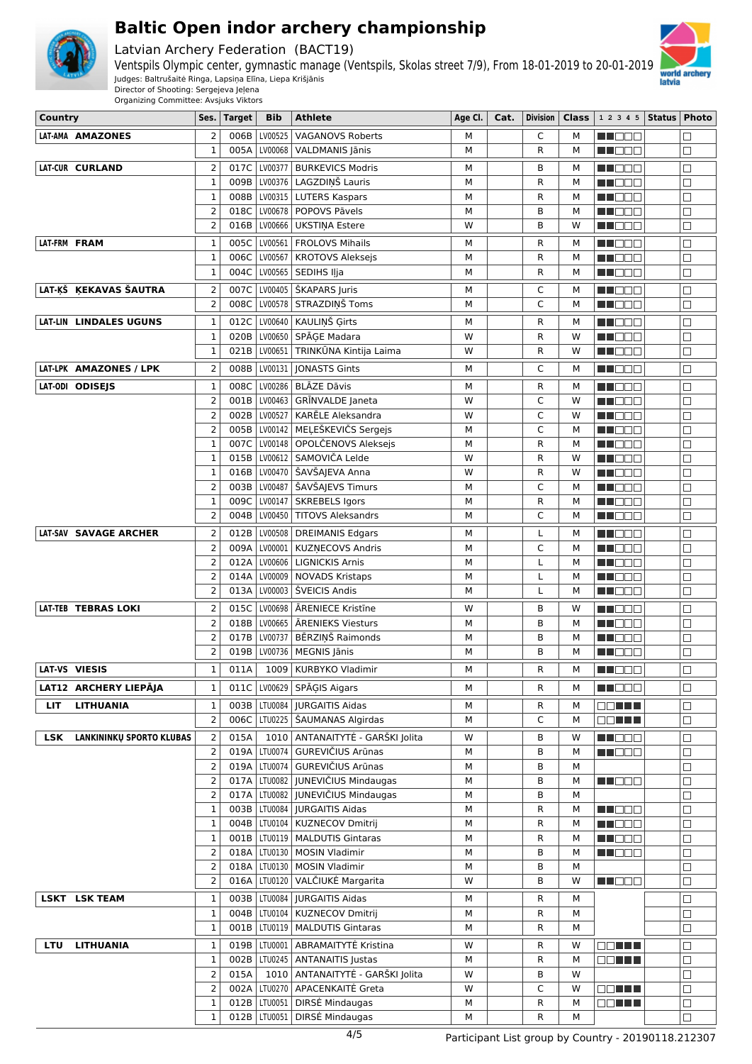

Latvian Archery Federation (BACT19)



Ventspils Olympic center, gymnastic manage (Ventspils, Skolas street 7/9), From 18-01-2019 to 20-01-2019 Judges: Baltrušaitė Ringa, Lapsiņa Elīna, Liepa Krišjānis Director of Shooting: Sergejeva Jeļena

| Country    |                                 | Ses.                           | <b>Target</b> | <b>Bib</b>     | <b>Athlete</b>                                                      | Age Cl. | Cat. | <b>Division</b> | <b>Class</b> | 1 2 3 4 5   Status   Photo |                  |
|------------|---------------------------------|--------------------------------|---------------|----------------|---------------------------------------------------------------------|---------|------|-----------------|--------------|----------------------------|------------------|
|            | LAT-AMA AMAZONES                | $\overline{2}$                 | 006B          | LV00525        | <b>VAGANOVS Roberts</b>                                             | М       |      | C               | M            | N N D D D                  |                  |
|            |                                 | $\mathbf{1}$                   | 005A          | LV00068        | VALDMANIS Jānis                                                     | М       |      | R               | М            | M NO D O                   | $\Box$           |
|            | LAT-CUR CURLAND                 | $\overline{2}$                 | 017C          | LV00377        | <b>BURKEVICS Modris</b>                                             | M       |      | B               | М            | M DO D                     | $\Box$           |
|            |                                 | 1                              | 009B          | LV00376        | LAGZDIŅŠ Lauris                                                     | M       |      | R               | М            | n i Bele                   | $\Box$           |
|            |                                 | $\mathbf{1}$                   | 008B          |                | LV00315   LUTERS Kaspars                                            | M       |      | R               | M            | N NOOC                     | П                |
|            |                                 | $\overline{2}$                 | 018C          |                | LV00678   POPOVS Pāvels                                             | M       |      | B               | M            | MA DE S                    | $\Box$           |
|            |                                 | $\overline{2}$                 |               |                | 016B   LV00666   UKSTINA Estere                                     | W       |      | B               | W            | M DO B                     | $\Box$           |
|            | LAT-FRM FRAM                    | $\mathbf 1$                    |               |                | 005C   LV00561   FROLOVS Mihails                                    | M       |      | R               | М            | MUOOO                      | $\Box$           |
|            |                                 | $\mathbf{1}$                   | 006C          | LV00567        | <b>KROTOVS Aleksejs</b>                                             | M       |      | R               | М            | MU OO B                    | □                |
|            |                                 | $\mathbf{1}$                   | 004C          |                | LV00565 SEDIHS Ilja                                                 | M       |      | R               | M            | MA DE E                    | $\Box$           |
|            | LAT-KŠ KEKAVAS ŠAUTRA           | $\overline{2}$                 |               |                | 007C   LV00405   ŠKAPARS Juris                                      | М       |      | C               | м            | N NOOD                     | □                |
|            |                                 | $\overline{2}$                 |               |                | 008C   LV00578   STRAZDIŅŠ Toms                                     | M       |      | C               | M            | <u> Here a</u>             | $\Box$           |
|            | LAT-LIN LINDALES UGUNS          | 1                              | 012C          |                | LV00640   KAULIŅŠ Ģirts                                             | М       |      | R               | м            | NN OOO                     | $\Box$           |
|            |                                 | $\mathbf{1}$                   | 020B          |                | LV00650 SPĀGE Madara                                                | W       |      | R               | W            | M NO O O                   | $\Box$           |
|            |                                 | 1                              |               |                | 021B   LV00651   TRINKŪNA Kintija Laima                             | W       |      | R               | W            | M NOOO                     | $\Box$           |
|            | LAT-LPK AMAZONES / LPK          | $\overline{2}$                 | 008B          |                | LV00131   JONASTS Gints                                             | M       |      | C               | М            | MN 888                     | $\Box$           |
|            | LAT-ODI ODISEJS                 | $\mathbf 1$                    | 008C          |                | LV00286   BLĀZE Dāvis                                               | М       |      | R               | м            | M DOO                      | $\Box$           |
|            |                                 | $\overline{2}$                 | 001B          |                | LV00463   GRĪNVALDE Janeta                                          | W       |      | C               | W            | n in Eise                  | $\Box$           |
|            |                                 | $\overline{2}$                 | 002B          | LV00527        | KARĒLE Aleksandra                                                   | W       |      | C               | W            | M DO B                     | П                |
|            |                                 | $\overline{2}$                 |               | 005B   LV00142 | MELEŠKEVIČS Sergejs                                                 | M       |      | C               | M            | n in Biblio                | $\Box$           |
|            |                                 | $\mathbf{1}$                   | 007C          |                | LV00148   OPOLČENOVS Aleksejs                                       | M       |      | R               | М            | MA DEL                     | $\Box$           |
|            |                                 | $\mathbf{1}$                   |               |                | 015B   LV00612   SAMOVIČA Lelde                                     | W       |      | R               | W            | M NOOC                     | $\Box$           |
|            |                                 | $\mathbf{1}$<br>$\overline{2}$ | 016B          |                | LV00470   ŠAVŠAJEVA Anna                                            | W       |      | R               | W            | en de e                    | $\Box$           |
|            |                                 | $\mathbf{1}$                   | 009C          |                | 003B   LV00487   ŠAVŠAJEVS Timurs<br>LV00147 SKREBELS Igors         | M<br>M  |      | C<br>R          | М<br>M       | MUOOD<br>M S S S           | $\Box$<br>$\Box$ |
|            |                                 | $\overline{2}$                 | 004B          |                | LV00450 TITOVS Aleksandrs                                           | М       |      | C               | М            | M NOOC                     | $\Box$           |
|            | LAT-SAV SAVAGE ARCHER           | $\overline{2}$                 | 012B          |                | LV00508   DREIMANIS Edgars                                          | M       |      |                 | M            |                            |                  |
|            |                                 | $\overline{2}$                 | 009A          |                | LV00001   KUZNECOVS Andris                                          | M       |      | L<br>C          | М            | MA DEL<br>n i Biblio       | $\Box$<br>П      |
|            |                                 | $\overline{2}$                 |               |                | 012A   LV00606   LIGNICKIS Arnis                                    | M       |      | Г               | M            | en de e                    | $\Box$           |
|            |                                 | $\overline{2}$                 | 014A          |                | LV00009   NOVADS Kristaps                                           | M       |      | L               | М            | m de e                     | $\Box$           |
|            |                                 | $\overline{2}$                 |               |                | 013A   LV00003   ŠVEICIS Andis                                      | M       |      | L               | M            | MU DO B                    | $\Box$           |
|            | LAT-TEB TEBRAS LOKI             | 2                              |               |                | 015C   LV00698   ĀRENIECE Kristīne                                  | W       |      | B               | W            | M NO O U                   | $\Box$           |
|            |                                 | $\overline{2}$                 |               |                | 018B   LV00665   ARENIEKS Viesturs                                  | M       |      | B               | М            | N N D D D                  | $\Box$           |
|            |                                 | $\overline{2}$                 |               |                | 017B   LV00737   BĒRZINŠ Raimonds                                   | M       |      | B               | М            | <u> a se esc</u>           | $\Box$           |
|            |                                 | $\overline{2}$                 |               |                | 019B   LV00736   MEGNIS Jānis                                       | M       |      | B               | M            | M NOCH                     | $\Box$           |
|            | LAT-VS VIESIS                   | $\mathbf{1}$                   | 011A          |                | 1009 KURBYKO Vladimir                                               | M       |      | R               | М            | N NO DEI                   | $\Box$           |
|            | LAT12 ARCHERY LIEPĀJA           | 1                              | 011C          |                | LV00629   SPĀĢIS Aigars                                             | м       |      | R               | М            | <b>NNODO</b>               | $\Box$           |
| LIT        | <b>LITHUANIA</b>                | 1                              |               |                | 003B   LTU0084   JURGAITIS Aidas                                    | М       |      | R               | м            | E E HELL                   | $\Box$           |
|            |                                 | $\overline{2}$                 | 006C          |                | LTU0225   ŠAUMANAS Algirdas                                         | М       |      | C               | М            | <b>DDEEN</b>               | $\Box$           |
| <b>LSK</b> |                                 |                                | 015A          |                | 1010   ANTANAITYTĖ - GARŠKI Jolita                                  | W       |      |                 |              |                            |                  |
|            | <b>LANKININKU SPORTO KLUBAS</b> | 2<br>$\overline{2}$            |               |                | 019A   LTU0074   GUREVIČIUS Arūnas                                  | M       |      | в<br>B          | W<br>М       | MN DOO<br><b>REBEE</b>     | $\Box$<br>$\Box$ |
|            |                                 | $\overline{2}$                 |               |                | 019A   LTU0074   GUREVIČIUS Arūnas                                  | M       |      | B               | M            |                            | $\Box$           |
|            |                                 | $\overline{2}$                 |               |                | 017A   LTU0082   JUNEVIČIUS Mindaugas                               | М       |      | B               | м            | M N D O O                  | $\Box$           |
|            |                                 | $\overline{2}$                 | 017A          |                | LTU0082 JUNEVIČIUS Mindaugas                                        | М       |      | B               | М            |                            | П                |
|            |                                 | 1                              | 003B          |                | LTU0084   JURGAITIS Aidas                                           | М       |      | R               | м            | MU DOO                     | П                |
|            |                                 | $\mathbf{1}$                   | 004B          |                | LTU0104   KUZNECOV Dmitrij                                          | М       |      | R               | М            | <b>MUDDO</b>               | $\Box$           |
|            |                                 | 1                              |               |                | 001B   LTU0119   MALDUTIS Gintaras                                  | М       |      | R               | м            | M O O O                    | $\Box$           |
|            |                                 | $\overline{2}$                 |               |                | 018A   LTU0130   MOSIN Vladimir                                     | М       |      | B               | м            | MU O O O                   | $\Box$           |
|            |                                 | $\overline{2}$                 |               | 018A   LTU0130 | MOSIN Vladimir                                                      | М       |      | B               | м            |                            | $\Box$           |
|            |                                 | $\overline{2}$                 |               |                | 016A   LTU0120   VALČIUKĖ Margarita                                 | W       |      | B               | W            | M NOCH                     | $\Box$           |
|            | <b>LSKT LSK TEAM</b>            | $\mathbf 1$                    |               | 003B   LTU0084 | JURGAITIS Aidas                                                     | М       |      | R               | м            |                            | $\Box$           |
|            |                                 | 1                              |               | 004B   LTU0104 | KUZNECOV Dmitrij                                                    | М       |      | R               | м            |                            | $\Box$           |
|            |                                 | 1                              |               |                | 001B   LTU0119   MALDUTIS Gintaras                                  | М       |      | R               | М            |                            | □                |
| <b>LTU</b> | <b>LITHUANIA</b>                | $\mathbf{1}$                   |               |                | 019B   LTU0001   ABRAMAITYTĖ Kristina                               | W       |      | R               | W            | 88 <b>88 88 88 88 88 8</b> | $\Box$           |
|            |                                 | $\mathbf{1}$<br>2              | 015A          | 1010           | 002B   LTU0245   ANTANAITIS Justas<br>  ANTANAITYTĖ - GARŠKI Jolita | М<br>W  |      | R<br>В          | м<br>W       | 88 <b>88 88</b>            | $\Box$           |
|            |                                 | $\overline{2}$                 |               |                | 002A   LTU0270   APACENKAITÉ Greta                                  | W       |      | C               | W            | <b>DDNNN</b>               | П<br>$\Box$      |
|            |                                 | 1                              |               |                | 012B   LTU0051   DIRSĖ Mindaugas                                    | М       |      | R               | м            | OO HEL                     | $\Box$           |
|            |                                 | 1                              |               |                | 012B   LTU0051   DIRSĖ Mindaugas                                    | М       |      | R               | М            |                            | $\Box$           |
|            |                                 |                                |               |                |                                                                     |         |      |                 |              |                            |                  |